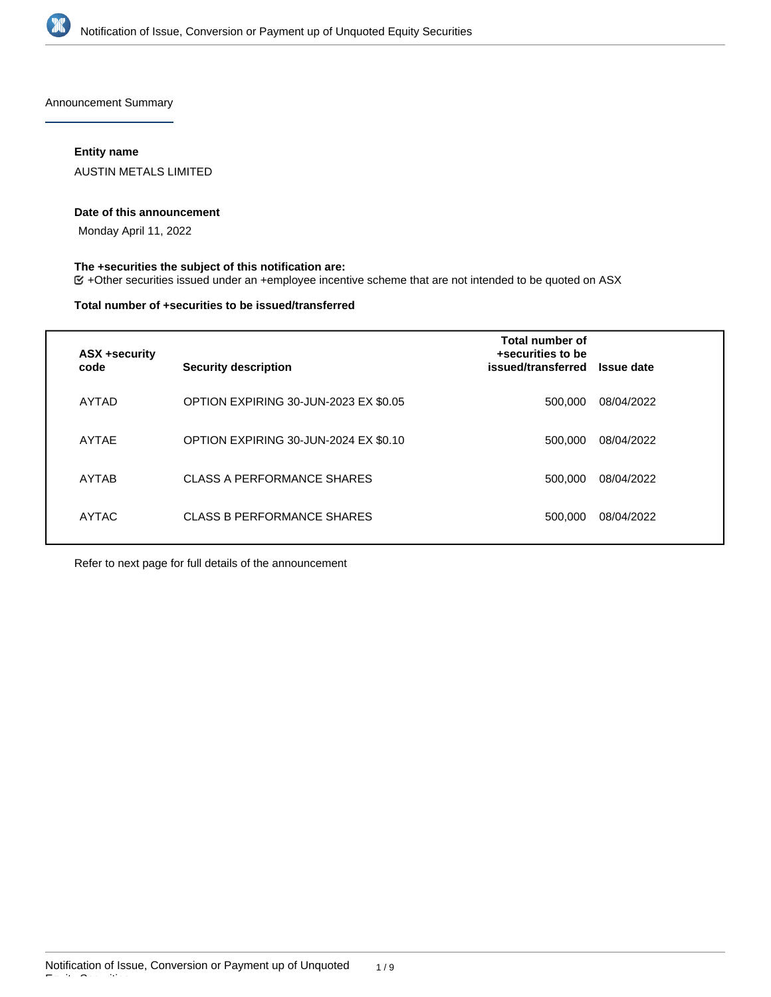

Announcement Summary

# **Entity name**

AUSTIN METALS LIMITED

### **Date of this announcement**

Monday April 11, 2022

# **The +securities the subject of this notification are:**

+Other securities issued under an +employee incentive scheme that are not intended to be quoted on ASX

## **Total number of +securities to be issued/transferred**

| ASX +security<br>code | <b>Security description</b>           | Total number of<br>+securities to be<br>issued/transferred | <b>Issue date</b> |
|-----------------------|---------------------------------------|------------------------------------------------------------|-------------------|
| AYTAD                 | OPTION EXPIRING 30-JUN-2023 EX \$0.05 | 500,000                                                    | 08/04/2022        |
| AYTAE                 | OPTION EXPIRING 30-JUN-2024 EX \$0.10 | 500,000                                                    | 08/04/2022        |
| <b>AYTAB</b>          | CLASS A PERFORMANCE SHARES            | 500,000                                                    | 08/04/2022        |
| <b>AYTAC</b>          | <b>CLASS B PERFORMANCE SHARES</b>     | 500,000                                                    | 08/04/2022        |
|                       |                                       |                                                            |                   |

Refer to next page for full details of the announcement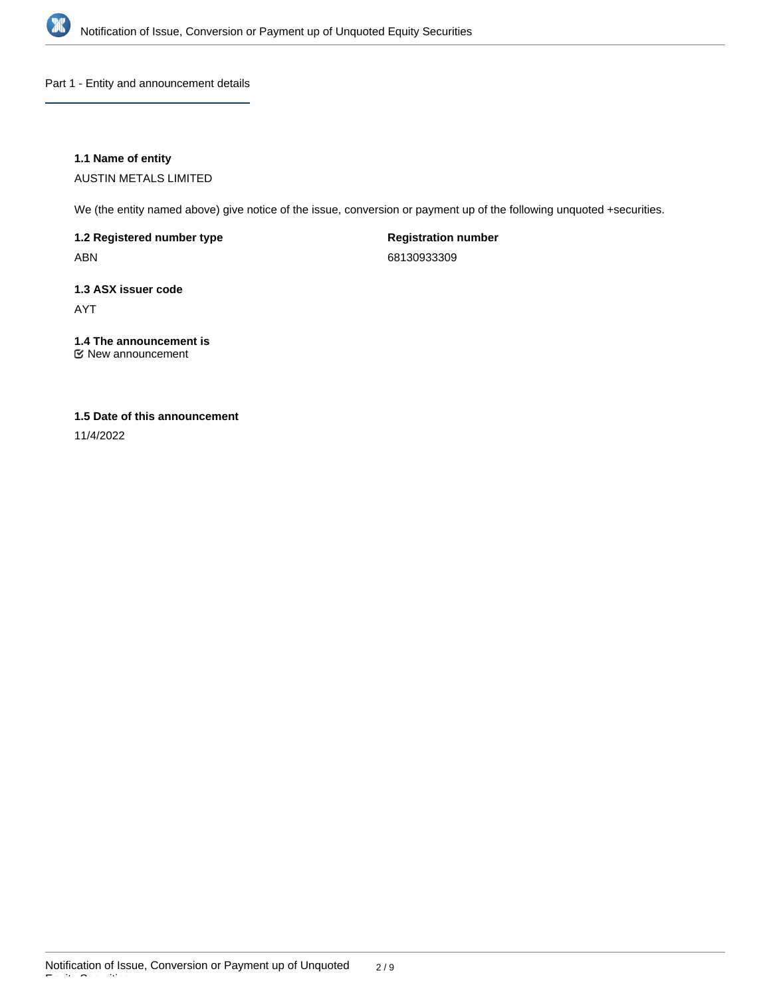

Part 1 - Entity and announcement details

# **1.1 Name of entity**

AUSTIN METALS LIMITED

We (the entity named above) give notice of the issue, conversion or payment up of the following unquoted +securities.

**1.2 Registered number type**

ABN

**Registration number** 68130933309

**1.3 ASX issuer code**

AYT

# **1.4 The announcement is**

New announcement

# **1.5 Date of this announcement**

11/4/2022

Equity Securities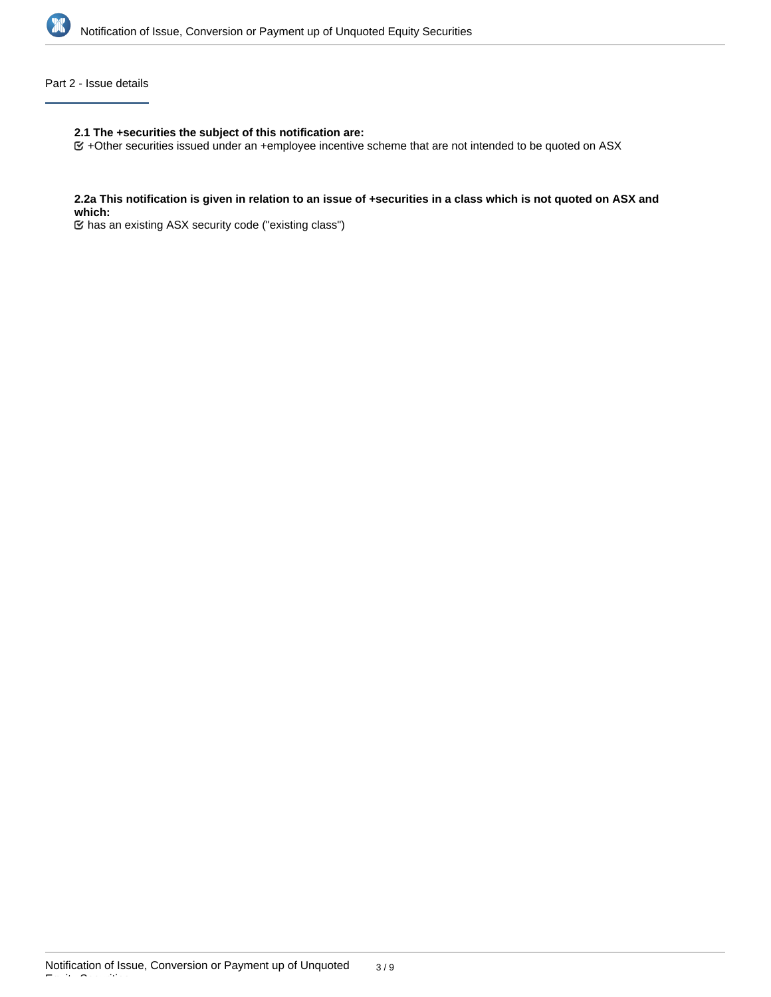

## Part 2 - Issue details

## **2.1 The +securities the subject of this notification are:**

+Other securities issued under an +employee incentive scheme that are not intended to be quoted on ASX

### **2.2a This notification is given in relation to an issue of +securities in a class which is not quoted on ASX and which:**

has an existing ASX security code ("existing class")

Equity Securities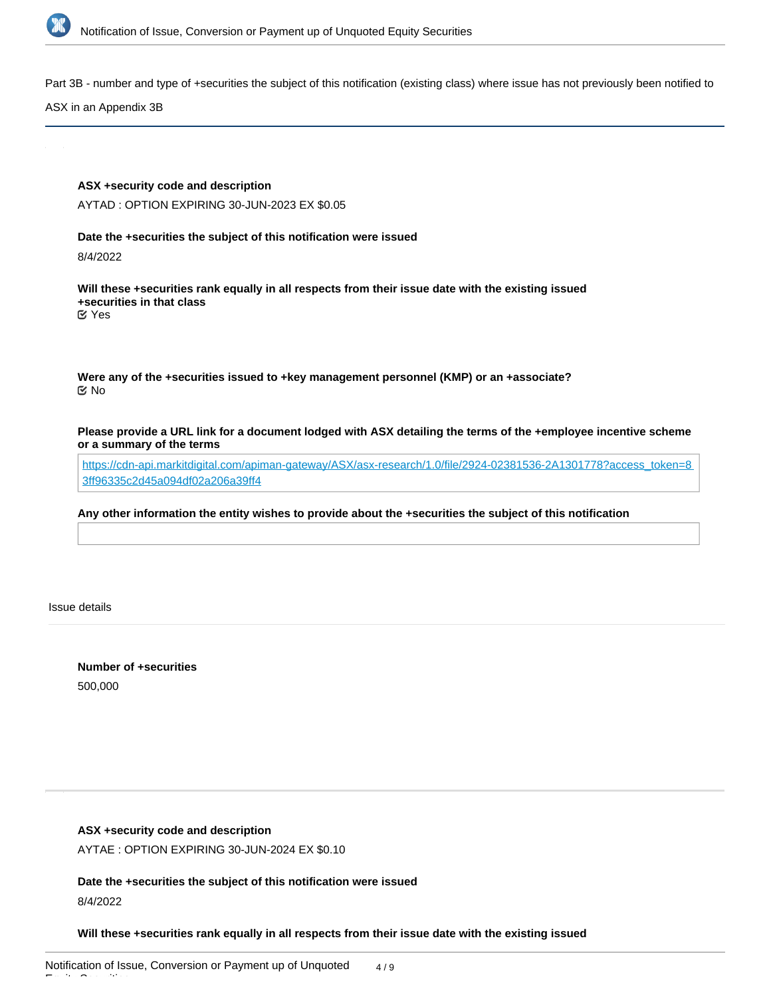

Part 3B - number and type of +securities the subject of this notification (existing class) where issue has not previously been notified to

ASX in an Appendix 3B

### **ASX +security code and description**

AYTAD : OPTION EXPIRING 30-JUN-2023 EX \$0.05

### **Date the +securities the subject of this notification were issued**

8/4/2022

**Will these +securities rank equally in all respects from their issue date with the existing issued +securities in that class** Yes

**Were any of the +securities issued to +key management personnel (KMP) or an +associate?** No

**Please provide a URL link for a document lodged with ASX detailing the terms of the +employee incentive scheme or a summary of the terms**

[https://cdn-api.markitdigital.com/apiman-gateway/ASX/asx-research/1.0/file/2924-02381536-2A1301778?access\\_token=8](https://cdn-api.markitdigital.com/apiman-gateway/ASX/asx-research/1.0/file/2924-02381536-2A1301778?access_token=83ff96335c2d45a094df02a206a39ff4) [3ff96335c2d45a094df02a206a39ff4](https://cdn-api.markitdigital.com/apiman-gateway/ASX/asx-research/1.0/file/2924-02381536-2A1301778?access_token=83ff96335c2d45a094df02a206a39ff4)

#### **Any other information the entity wishes to provide about the +securities the subject of this notification**

Issue details

Equity Securities

**Number of +securities** 500,000

**+securities in that class**

**ASX +security code and description**

AYTAE : OPTION EXPIRING 30-JUN-2024 EX \$0.10

**Date the +securities the subject of this notification were issued** 8/4/2022

**Will these +securities rank equally in all respects from their issue date with the existing issued**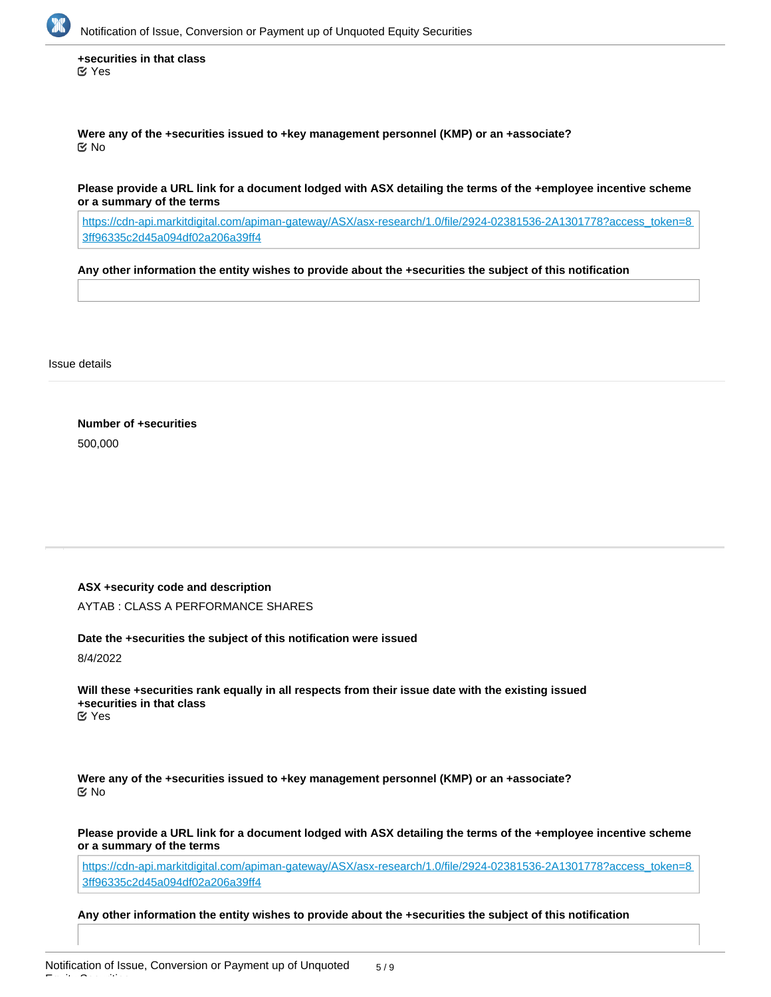

**+securities in that class** Yes

**Were any of the +securities issued to +key management personnel (KMP) or an +associate?** No

**Please provide a URL link for a document lodged with ASX detailing the terms of the +employee incentive scheme or a summary of the terms**

[https://cdn-api.markitdigital.com/apiman-gateway/ASX/asx-research/1.0/file/2924-02381536-2A1301778?access\\_token=8](https://cdn-api.markitdigital.com/apiman-gateway/ASX/asx-research/1.0/file/2924-02381536-2A1301778?access_token=83ff96335c2d45a094df02a206a39ff4) [3ff96335c2d45a094df02a206a39ff4](https://cdn-api.markitdigital.com/apiman-gateway/ASX/asx-research/1.0/file/2924-02381536-2A1301778?access_token=83ff96335c2d45a094df02a206a39ff4)

**Any other information the entity wishes to provide about the +securities the subject of this notification**

Issue details

**Number of +securities** 500,000

#### **ASX +security code and description**

AYTAB : CLASS A PERFORMANCE SHARES

**Date the +securities the subject of this notification were issued**

8/4/2022

Equity Securities

**Will these +securities rank equally in all respects from their issue date with the existing issued +securities in that class** Yes

**Were any of the +securities issued to +key management personnel (KMP) or an +associate?** No

**Please provide a URL link for a document lodged with ASX detailing the terms of the +employee incentive scheme or a summary of the terms**

[https://cdn-api.markitdigital.com/apiman-gateway/ASX/asx-research/1.0/file/2924-02381536-2A1301778?access\\_token=8](https://cdn-api.markitdigital.com/apiman-gateway/ASX/asx-research/1.0/file/2924-02381536-2A1301778?access_token=83ff96335c2d45a094df02a206a39ff4) [3ff96335c2d45a094df02a206a39ff4](https://cdn-api.markitdigital.com/apiman-gateway/ASX/asx-research/1.0/file/2924-02381536-2A1301778?access_token=83ff96335c2d45a094df02a206a39ff4)

#### **Any other information the entity wishes to provide about the +securities the subject of this notification**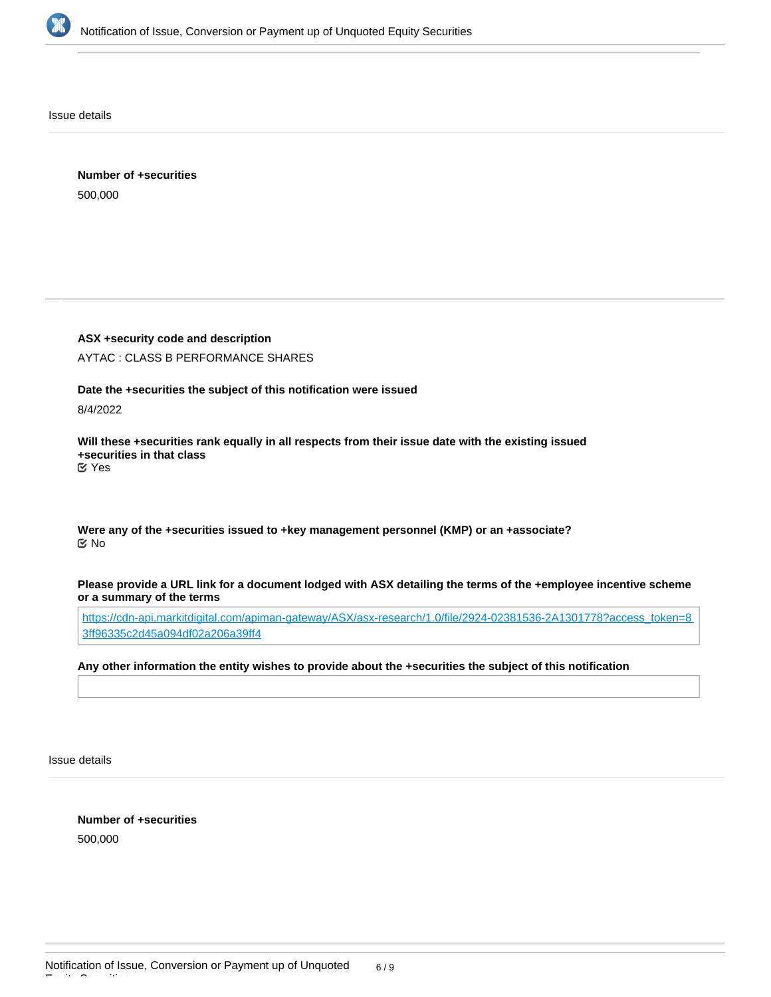

Issue details

**Number of +securities** 500,000

**ASX +security code and description** AYTAC : CLASS B PERFORMANCE SHARES

**Date the +securities the subject of this notification were issued**

8/4/2022

**Will these +securities rank equally in all respects from their issue date with the existing issued +securities in that class** Yes

**Were any of the +securities issued to +key management personnel (KMP) or an +associate?** No

**Please provide a URL link for a document lodged with ASX detailing the terms of the +employee incentive scheme or a summary of the terms**

[https://cdn-api.markitdigital.com/apiman-gateway/ASX/asx-research/1.0/file/2924-02381536-2A1301778?access\\_token=8](https://cdn-api.markitdigital.com/apiman-gateway/ASX/asx-research/1.0/file/2924-02381536-2A1301778?access_token=83ff96335c2d45a094df02a206a39ff4) [3ff96335c2d45a094df02a206a39ff4](https://cdn-api.markitdigital.com/apiman-gateway/ASX/asx-research/1.0/file/2924-02381536-2A1301778?access_token=83ff96335c2d45a094df02a206a39ff4)

**Any other information the entity wishes to provide about the +securities the subject of this notification**

Issue details

**Number of +securities** 500,000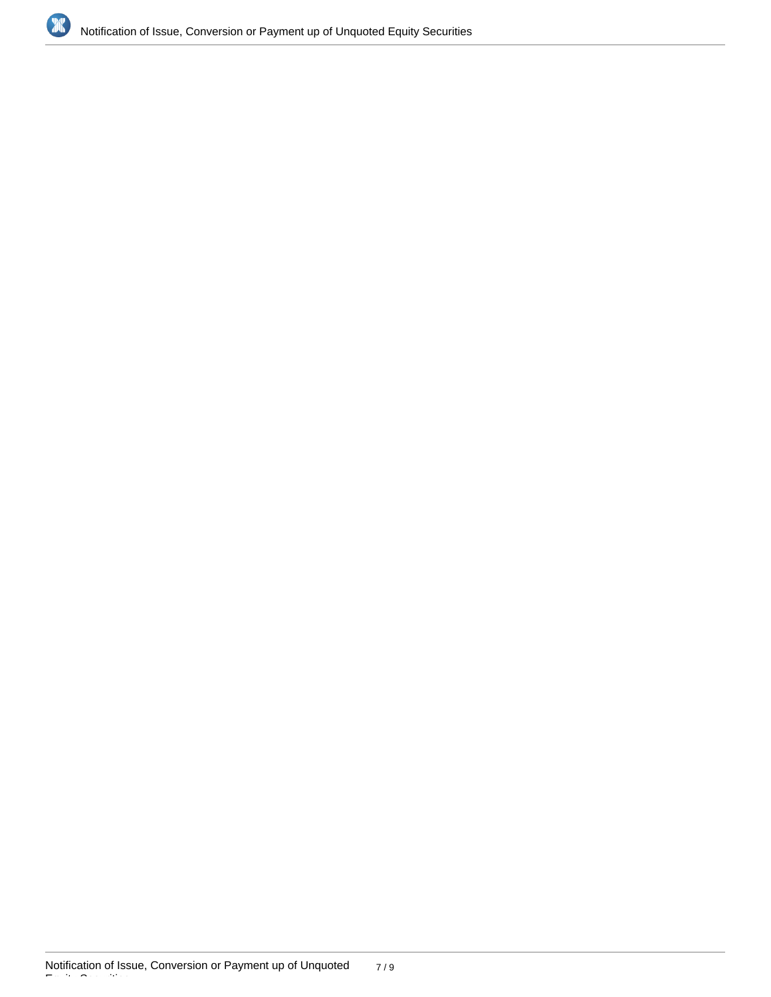

Equity Securities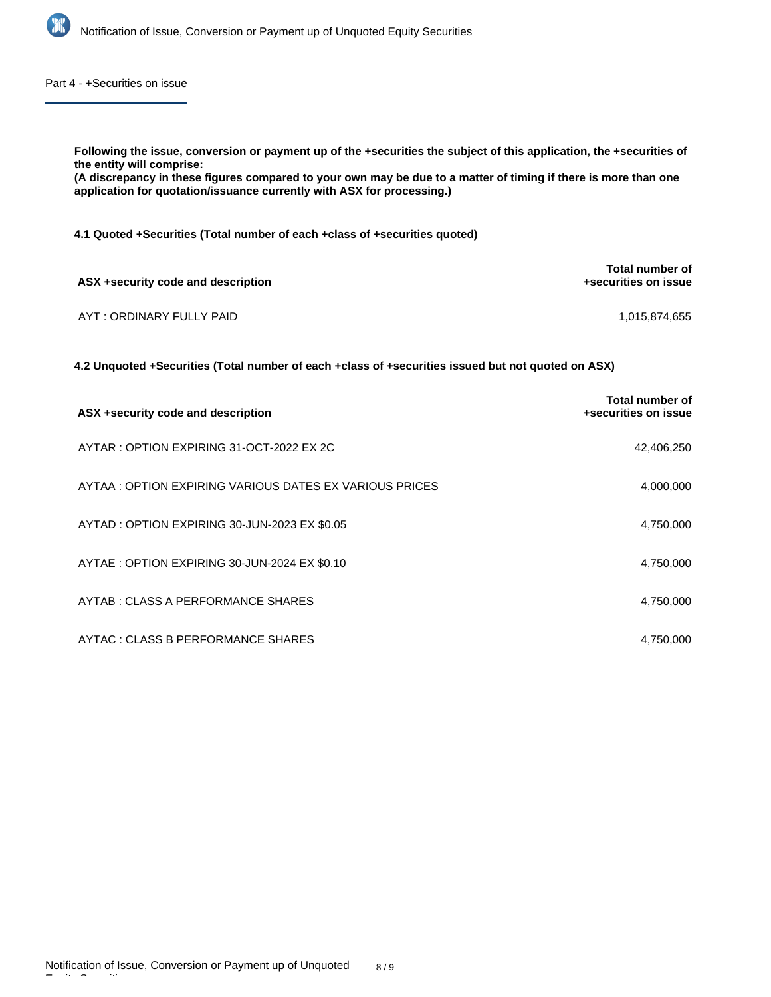

Part 4 - +Securities on issue

| Following the issue, conversion or payment up of the +securities the subject of this application, the +securities of<br>the entity will comprise:<br>(A discrepancy in these figures compared to your own may be due to a matter of timing if there is more than one<br>application for quotation/issuance currently with ASX for processing.) |                                         |  |  |  |  |
|------------------------------------------------------------------------------------------------------------------------------------------------------------------------------------------------------------------------------------------------------------------------------------------------------------------------------------------------|-----------------------------------------|--|--|--|--|
| 4.1 Quoted +Securities (Total number of each +class of +securities quoted)                                                                                                                                                                                                                                                                     |                                         |  |  |  |  |
| ASX +security code and description                                                                                                                                                                                                                                                                                                             | Total number of<br>+securities on issue |  |  |  |  |
| AYT: ORDINARY FULLY PAID                                                                                                                                                                                                                                                                                                                       | 1,015,874,655                           |  |  |  |  |
| 4.2 Unquoted +Securities (Total number of each +class of +securities issued but not quoted on ASX)                                                                                                                                                                                                                                             |                                         |  |  |  |  |
| ASX + security code and description                                                                                                                                                                                                                                                                                                            | Total number of<br>+securities on issue |  |  |  |  |
| AYTAR : OPTION EXPIRING 31-OCT-2022 EX 2C                                                                                                                                                                                                                                                                                                      | 42,406,250                              |  |  |  |  |

AYTAA : OPTION EXPIRING VARIOUS DATES EX VARIOUS PRICES 4,000,000 4,000,000

AYTAD : OPTION EXPIRING 30-JUN-2023 EX \$0.05 4,750,000 4,750,000 4,750,000

AYTAE : OPTION EXPIRING 30-JUN-2024 EX \$0.10 4,750,000 4,750,000 4,750,000

AYTAB : CLASS A PERFORMANCE SHARES 4,750,000 4,750,000

AYTAC : CLASS B PERFORMANCE SHARES 4,750,000 ASSESSMENT RANGERS AND A 4,750,000